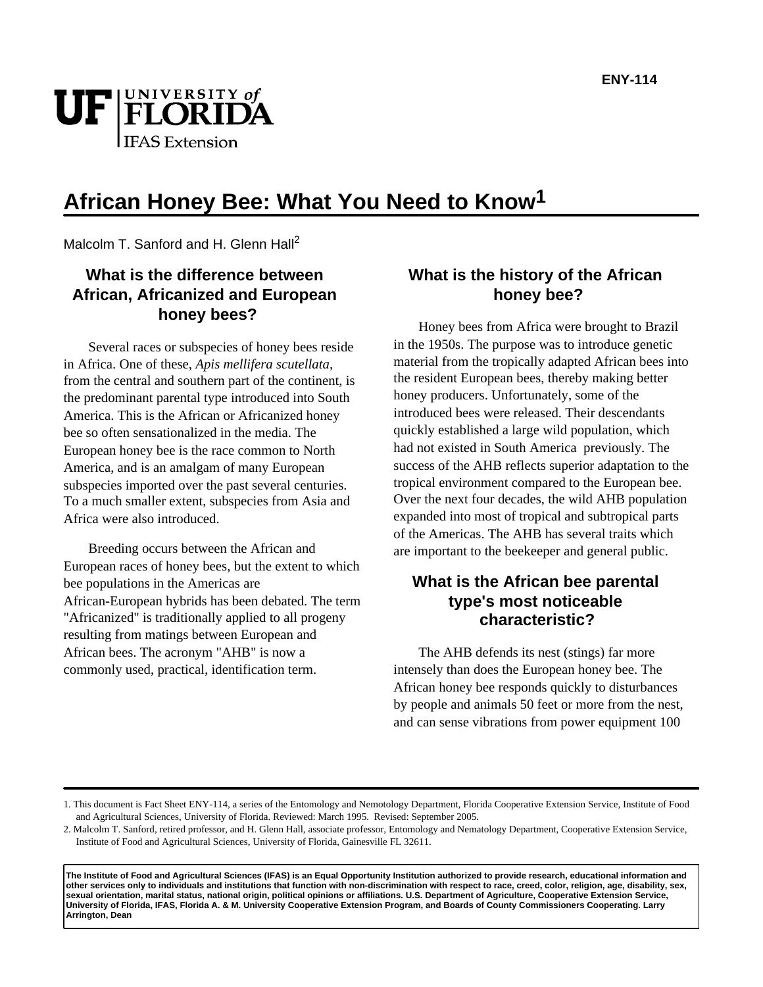

# **African Honey Bee: What You Need to Know1**

Malcolm T. Sanford and H. Glenn Hall<sup>2</sup>

## **What is the difference between African, Africanized and European honey bees?**

Several races or subspecies of honey bees reside in Africa. One of these, *Apis mellifera scutellata*, from the central and southern part of the continent, is the predominant parental type introduced into South America. This is the African or Africanized honey bee so often sensationalized in the media. The European honey bee is the race common to North America, and is an amalgam of many European subspecies imported over the past several centuries. To a much smaller extent, subspecies from Asia and Africa were also introduced.

Breeding occurs between the African and European races of honey bees, but the extent to which bee populations in the Americas are African-European hybrids has been debated. The term "Africanized" is traditionally applied to all progeny resulting from matings between European and African bees. The acronym "AHB" is now a commonly used, practical, identification term.

## **What is the history of the African honey bee?**

Honey bees from Africa were brought to Brazil in the 1950s. The purpose was to introduce genetic material from the tropically adapted African bees into the resident European bees, thereby making better honey producers. Unfortunately, some of the introduced bees were released. Their descendants quickly established a large wild population, which had not existed in South America previously. The success of the AHB reflects superior adaptation to the tropical environment compared to the European bee. Over the next four decades, the wild AHB population expanded into most of tropical and subtropical parts of the Americas. The AHB has several traits which are important to the beekeeper and general public.

## **What is the African bee parental type's most noticeable characteristic?**

The AHB defends its nest (stings) far more intensely than does the European honey bee. The African honey bee responds quickly to disturbances by people and animals 50 feet or more from the nest, and can sense vibrations from power equipment 100

**The Institute of Food and Agricultural Sciences (IFAS) is an Equal Opportunity Institution authorized to provide research, educational information and other services only to individuals and institutions that function with non-discrimination with respect to race, creed, color, religion, age, disability, sex, sexual orientation, marital status, national origin, political opinions or affiliations. U.S. Department of Agriculture, Cooperative Extension Service, University of Florida, IFAS, Florida A. & M. University Cooperative Extension Program, and Boards of County Commissioners Cooperating. Larry Arrington, Dean**

<sup>1.</sup> This document is Fact Sheet ENY-114, a series of the Entomology and Nemotology Department, Florida Cooperative Extension Service, Institute of Food and Agricultural Sciences, University of Florida. Reviewed: March 1995. Revised: September 2005.

<sup>2.</sup> Malcolm T. Sanford, retired professor, and H. Glenn Hall, associate professor, Entomology and Nematology Department, Cooperative Extension Service, Institute of Food and Agricultural Sciences, University of Florida, Gainesville FL 32611.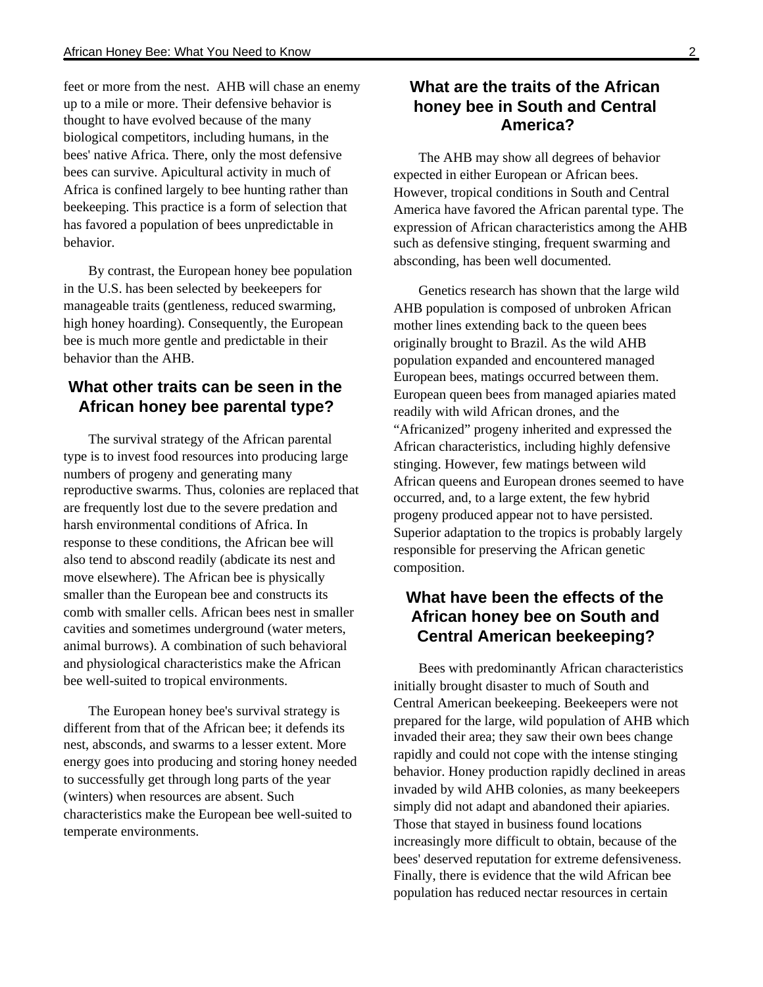feet or more from the nest. AHB will chase an enemy up to a mile or more. Their defensive behavior is thought to have evolved because of the many biological competitors, including humans, in the bees' native Africa. There, only the most defensive bees can survive. Apicultural activity in much of Africa is confined largely to bee hunting rather than beekeeping. This practice is a form of selection that has favored a population of bees unpredictable in behavior.

By contrast, the European honey bee population in the U.S. has been selected by beekeepers for manageable traits (gentleness, reduced swarming, high honey hoarding). Consequently, the European bee is much more gentle and predictable in their behavior than the AHB.

## **What other traits can be seen in the African honey bee parental type?**

The survival strategy of the African parental type is to invest food resources into producing large numbers of progeny and generating many reproductive swarms. Thus, colonies are replaced that are frequently lost due to the severe predation and harsh environmental conditions of Africa. In response to these conditions, the African bee will also tend to abscond readily (abdicate its nest and move elsewhere). The African bee is physically smaller than the European bee and constructs its comb with smaller cells. African bees nest in smaller cavities and sometimes underground (water meters, animal burrows). A combination of such behavioral and physiological characteristics make the African bee well-suited to tropical environments.

The European honey bee's survival strategy is different from that of the African bee; it defends its nest, absconds, and swarms to a lesser extent. More energy goes into producing and storing honey needed to successfully get through long parts of the year (winters) when resources are absent. Such characteristics make the European bee well-suited to temperate environments.

### **What are the traits of the African honey bee in South and Central America?**

The AHB may show all degrees of behavior expected in either European or African bees. However, tropical conditions in South and Central America have favored the African parental type. The expression of African characteristics among the AHB such as defensive stinging, frequent swarming and absconding, has been well documented.

Genetics research has shown that the large wild AHB population is composed of unbroken African mother lines extending back to the queen bees originally brought to Brazil. As the wild AHB population expanded and encountered managed European bees, matings occurred between them. European queen bees from managed apiaries mated readily with wild African drones, and the "Africanized" progeny inherited and expressed the African characteristics, including highly defensive stinging. However, few matings between wild African queens and European drones seemed to have occurred, and, to a large extent, the few hybrid progeny produced appear not to have persisted. Superior adaptation to the tropics is probably largely responsible for preserving the African genetic composition.

## **What have been the effects of the African honey bee on South and Central American beekeeping?**

Bees with predominantly African characteristics initially brought disaster to much of South and Central American beekeeping. Beekeepers were not prepared for the large, wild population of AHB which invaded their area; they saw their own bees change rapidly and could not cope with the intense stinging behavior. Honey production rapidly declined in areas invaded by wild AHB colonies, as many beekeepers simply did not adapt and abandoned their apiaries. Those that stayed in business found locations increasingly more difficult to obtain, because of the bees' deserved reputation for extreme defensiveness. Finally, there is evidence that the wild African bee population has reduced nectar resources in certain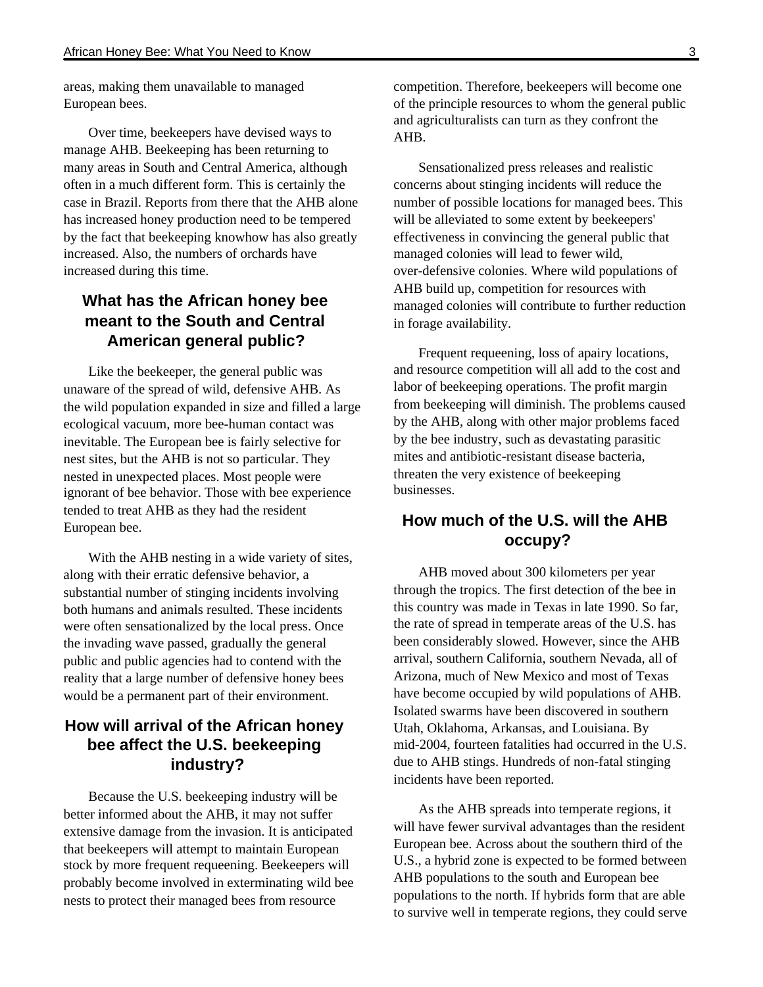areas, making them unavailable to managed European bees.

Over time, beekeepers have devised ways to manage AHB. Beekeeping has been returning to many areas in South and Central America, although often in a much different form. This is certainly the case in Brazil. Reports from there that the AHB alone has increased honey production need to be tempered by the fact that beekeeping knowhow has also greatly increased. Also, the numbers of orchards have increased during this time.

## **What has the African honey bee meant to the South and Central American general public?**

Like the beekeeper, the general public was unaware of the spread of wild, defensive AHB. As the wild population expanded in size and filled a large ecological vacuum, more bee-human contact was inevitable. The European bee is fairly selective for nest sites, but the AHB is not so particular. They nested in unexpected places. Most people were ignorant of bee behavior. Those with bee experience tended to treat AHB as they had the resident European bee.

With the AHB nesting in a wide variety of sites, along with their erratic defensive behavior, a substantial number of stinging incidents involving both humans and animals resulted. These incidents were often sensationalized by the local press. Once the invading wave passed, gradually the general public and public agencies had to contend with the reality that a large number of defensive honey bees would be a permanent part of their environment.

## **How will arrival of the African honey bee affect the U.S. beekeeping industry?**

Because the U.S. beekeeping industry will be better informed about the AHB, it may not suffer extensive damage from the invasion. It is anticipated that beekeepers will attempt to maintain European stock by more frequent requeening. Beekeepers will probably become involved in exterminating wild bee nests to protect their managed bees from resource

competition. Therefore, beekeepers will become one of the principle resources to whom the general public and agriculturalists can turn as they confront the AHB.

Sensationalized press releases and realistic concerns about stinging incidents will reduce the number of possible locations for managed bees. This will be alleviated to some extent by beekeepers' effectiveness in convincing the general public that managed colonies will lead to fewer wild, over-defensive colonies. Where wild populations of AHB build up, competition for resources with managed colonies will contribute to further reduction in forage availability.

Frequent requeening, loss of apairy locations, and resource competition will all add to the cost and labor of beekeeping operations. The profit margin from beekeeping will diminish. The problems caused by the AHB, along with other major problems faced by the bee industry, such as devastating parasitic mites and antibiotic-resistant disease bacteria, threaten the very existence of beekeeping businesses.

### **How much of the U.S. will the AHB occupy?**

AHB moved about 300 kilometers per year through the tropics. The first detection of the bee in this country was made in Texas in late 1990. So far, the rate of spread in temperate areas of the U.S. has been considerably slowed. However, since the AHB arrival, southern California, southern Nevada, all of Arizona, much of New Mexico and most of Texas have become occupied by wild populations of AHB. Isolated swarms have been discovered in southern Utah, Oklahoma, Arkansas, and Louisiana. By mid-2004, fourteen fatalities had occurred in the U.S. due to AHB stings. Hundreds of non-fatal stinging incidents have been reported.

As the AHB spreads into temperate regions, it will have fewer survival advantages than the resident European bee. Across about the southern third of the U.S., a hybrid zone is expected to be formed between AHB populations to the south and European bee populations to the north. If hybrids form that are able to survive well in temperate regions, they could serve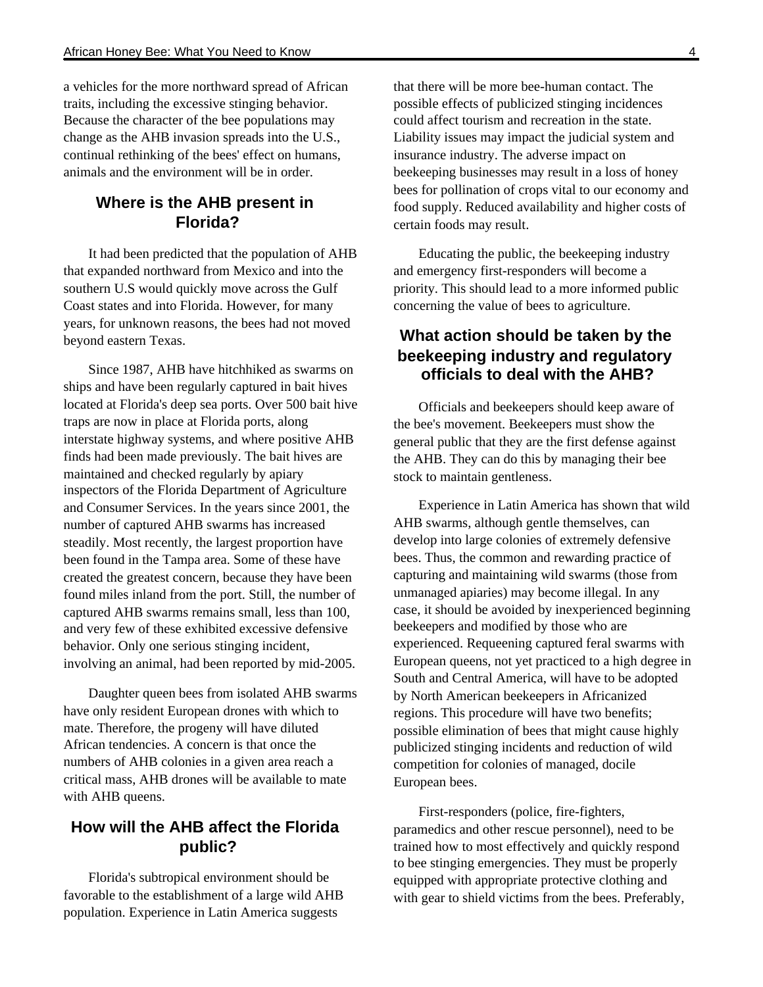a vehicles for the more northward spread of African traits, including the excessive stinging behavior. Because the character of the bee populations may change as the AHB invasion spreads into the U.S., continual rethinking of the bees' effect on humans, animals and the environment will be in order.

#### **Where is the AHB present in Florida?**

It had been predicted that the population of AHB that expanded northward from Mexico and into the southern U.S would quickly move across the Gulf Coast states and into Florida. However, for many years, for unknown reasons, the bees had not moved beyond eastern Texas.

Since 1987, AHB have hitchhiked as swarms on ships and have been regularly captured in bait hives located at Florida's deep sea ports. Over 500 bait hive traps are now in place at Florida ports, along interstate highway systems, and where positive AHB finds had been made previously. The bait hives are maintained and checked regularly by apiary inspectors of the Florida Department of Agriculture and Consumer Services. In the years since 2001, the number of captured AHB swarms has increased steadily. Most recently, the largest proportion have been found in the Tampa area. Some of these have created the greatest concern, because they have been found miles inland from the port. Still, the number of captured AHB swarms remains small, less than 100, and very few of these exhibited excessive defensive behavior. Only one serious stinging incident, involving an animal, had been reported by mid-2005.

Daughter queen bees from isolated AHB swarms have only resident European drones with which to mate. Therefore, the progeny will have diluted African tendencies. A concern is that once the numbers of AHB colonies in a given area reach a critical mass, AHB drones will be available to mate with AHB queens.

### **How will the AHB affect the Florida public?**

Florida's subtropical environment should be favorable to the establishment of a large wild AHB population. Experience in Latin America suggests

that there will be more bee-human contact. The possible effects of publicized stinging incidences could affect tourism and recreation in the state. Liability issues may impact the judicial system and insurance industry. The adverse impact on beekeeping businesses may result in a loss of honey bees for pollination of crops vital to our economy and food supply. Reduced availability and higher costs of certain foods may result.

Educating the public, the beekeeping industry and emergency first-responders will become a priority. This should lead to a more informed public concerning the value of bees to agriculture.

## **What action should be taken by the beekeeping industry and regulatory officials to deal with the AHB?**

Officials and beekeepers should keep aware of the bee's movement. Beekeepers must show the general public that they are the first defense against the AHB. They can do this by managing their bee stock to maintain gentleness.

Experience in Latin America has shown that wild AHB swarms, although gentle themselves, can develop into large colonies of extremely defensive bees. Thus, the common and rewarding practice of capturing and maintaining wild swarms (those from unmanaged apiaries) may become illegal. In any case, it should be avoided by inexperienced beginning beekeepers and modified by those who are experienced. Requeening captured feral swarms with European queens, not yet practiced to a high degree in South and Central America, will have to be adopted by North American beekeepers in Africanized regions. This procedure will have two benefits; possible elimination of bees that might cause highly publicized stinging incidents and reduction of wild competition for colonies of managed, docile European bees.

First-responders (police, fire-fighters, paramedics and other rescue personnel), need to be trained how to most effectively and quickly respond to bee stinging emergencies. They must be properly equipped with appropriate protective clothing and with gear to shield victims from the bees. Preferably,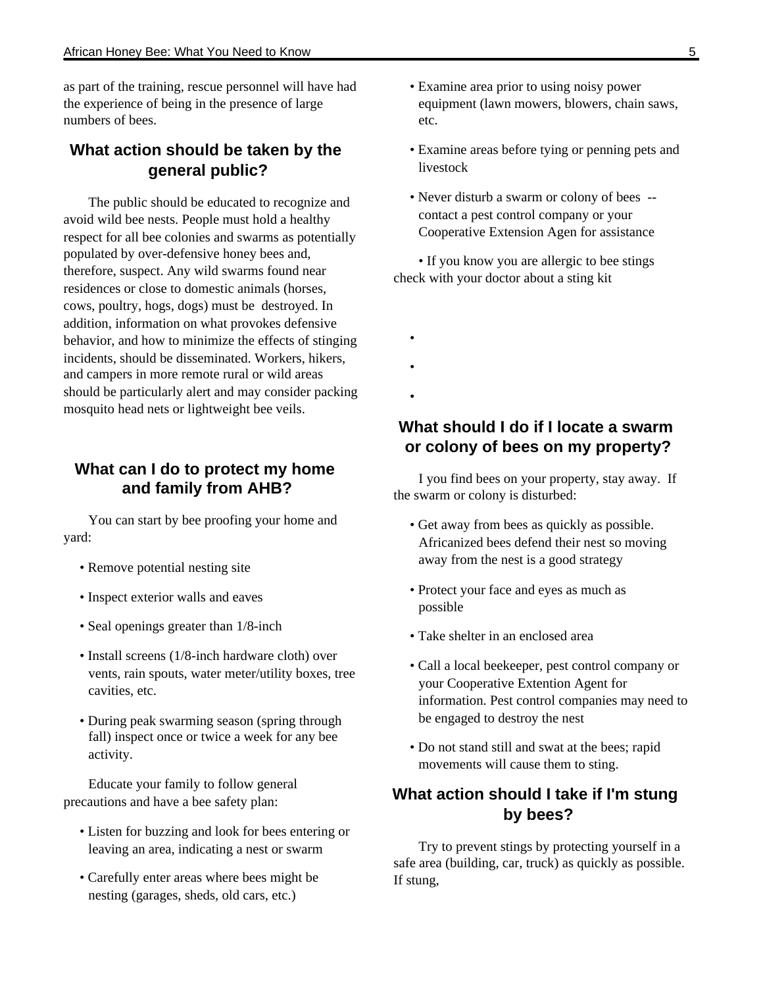as part of the training, rescue personnel will have had the experience of being in the presence of large numbers of bees.

### **What action should be taken by the general public?**

The public should be educated to recognize and avoid wild bee nests. People must hold a healthy respect for all bee colonies and swarms as potentially populated by over-defensive honey bees and, therefore, suspect. Any wild swarms found near residences or close to domestic animals (horses, cows, poultry, hogs, dogs) must be destroyed. In addition, information on what provokes defensive behavior, and how to minimize the effects of stinging incidents, should be disseminated. Workers, hikers, and campers in more remote rural or wild areas should be particularly alert and may consider packing mosquito head nets or lightweight bee veils.

#### **What can I do to protect my home and family from AHB?**

You can start by bee proofing your home and yard:

- Remove potential nesting site
- Inspect exterior walls and eaves
- Seal openings greater than 1/8-inch
- Install screens (1/8-inch hardware cloth) over vents, rain spouts, water meter/utility boxes, tree cavities, etc.
- During peak swarming season (spring through fall) inspect once or twice a week for any bee activity.

Educate your family to follow general precautions and have a bee safety plan:

- Listen for buzzing and look for bees entering or leaving an area, indicating a nest or swarm
- Carefully enter areas where bees might be nesting (garages, sheds, old cars, etc.)
- Examine area prior to using noisy power equipment (lawn mowers, blowers, chain saws, etc.
- Examine areas before tying or penning pets and livestock
- Never disturb a swarm or colony of bees contact a pest control company or your Cooperative Extension Agen for assistance

• If you know you are allergic to bee stings check with your doctor about a sting kit

- •
- •
- **What should I do if I locate a swarm or colony of bees on my property?**

I you find bees on your property, stay away. If the swarm or colony is disturbed:

- Get away from bees as quickly as possible. Africanized bees defend their nest so moving away from the nest is a good strategy
- Protect your face and eyes as much as possible
- Take shelter in an enclosed area
- Call a local beekeeper, pest control company or your Cooperative Extention Agent for information. Pest control companies may need to be engaged to destroy the nest
- Do not stand still and swat at the bees; rapid movements will cause them to sting.

### **What action should I take if I'm stung by bees?**

Try to prevent stings by protecting yourself in a safe area (building, car, truck) as quickly as possible. If stung,